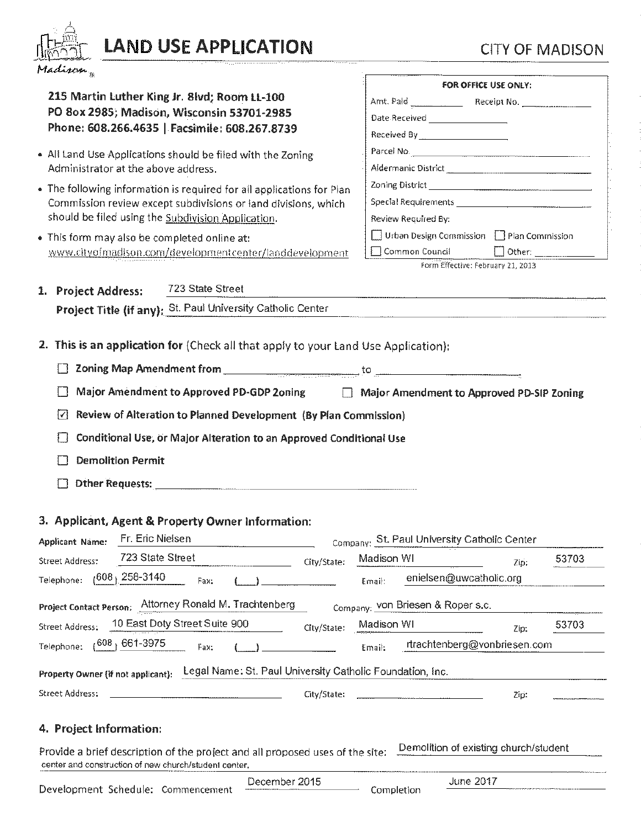

# LAND USE APPLICATION CITY OF MADISON

Development Schedule: Commencement

| $\mathbf{r}$ and $\mathbf{r} = -\frac{1}{2} \mathbf{r} \mathbf{r}$                                                                                                                                                             |                                                                                                                |
|--------------------------------------------------------------------------------------------------------------------------------------------------------------------------------------------------------------------------------|----------------------------------------------------------------------------------------------------------------|
| 215 Martin Luther King Jr. 8lvd; Room LL-100<br>PO 8ox 2985; Madison, Wisconsin 53701-2985                                                                                                                                     | FOR OFFICE USE ONLY:                                                                                           |
| Phone: 608.266.4635   Facsimile: 608.267.8739                                                                                                                                                                                  | Received By <sub>___</sub> ____________________                                                                |
| • All Land Use Applications should be filed with the Zoning                                                                                                                                                                    | Parcel No. 2008. 2010. 2010. 2010. 2010. 2010. 2010. 2010. 2010. 2010. 2010. 2010. 2010. 2010. 2010. 2010. 201 |
| Administrator at the above address.                                                                                                                                                                                            |                                                                                                                |
| • The following information is required for all applications for Plan                                                                                                                                                          |                                                                                                                |
| Commission review except subdivisions or land divisions, which                                                                                                                                                                 |                                                                                                                |
| should be filed using the Subdivision Application.                                                                                                                                                                             | Review Required By:                                                                                            |
| . This form may also be completed online at:                                                                                                                                                                                   | $\Box$ Urban Design Commission $\Box$ Plan Commission                                                          |
| www.cityofmadison.com/developmentcenter/landdevelopment                                                                                                                                                                        | □ Common Council                                                                                               |
|                                                                                                                                                                                                                                | Form Effective: February 21, 2013                                                                              |
| 723 State Street<br>1. Project Address:                                                                                                                                                                                        |                                                                                                                |
| Project Title (if any): St. Paul University Catholic Center Manuscription Content Content Content Content Content Content Content Content Content Content Content Content Content Content Content Content Content Content Cont |                                                                                                                |
|                                                                                                                                                                                                                                |                                                                                                                |
|                                                                                                                                                                                                                                |                                                                                                                |
| Major Amendment to Approved PD-GDP 2oning   Major Amendment to Approved PD-SIP Zoning                                                                                                                                          |                                                                                                                |
|                                                                                                                                                                                                                                |                                                                                                                |
| ₽₹<br>Review of Alteration to Planned Development (By Plan Commission)                                                                                                                                                         |                                                                                                                |
| Conditional Use, or Major Alteration to an Approved Conditional Use                                                                                                                                                            |                                                                                                                |
| <b>Demolition Permit</b>                                                                                                                                                                                                       |                                                                                                                |
|                                                                                                                                                                                                                                |                                                                                                                |
|                                                                                                                                                                                                                                |                                                                                                                |
| 3. Applicant, Agent & Property Owner Information:                                                                                                                                                                              |                                                                                                                |
|                                                                                                                                                                                                                                |                                                                                                                |
| Applicant Name: Fr. Eric Nielsen<br>723 State Street                                                                                                                                                                           | Company: St. Paul University Catholic Center                                                                   |
| <b>Street Address:</b><br>City/State:                                                                                                                                                                                          | Madison WI<br>53703<br>Zip.                                                                                    |
| $(608, 258-3140)$<br>Telephone:<br>Fax:                                                                                                                                                                                        | enielsen@uwcatholic.org<br>Email:                                                                              |
| Project Contact Person: Attorney Ronald M. Trachtenberg                                                                                                                                                                        | Company: VON Briesen & Roper s.c.                                                                              |
| 10 East Doty Street Suite 900<br><b>Street Address:</b><br>City/State:                                                                                                                                                         | Madison WI<br>53703<br>Zip:                                                                                    |
| <sub>1</sub> 608 <sub>1</sub> 661-3975<br>Telephone:<br><b>Fax:</b>                                                                                                                                                            | rtrachtenberg@vonbriesen.com<br>Email:                                                                         |
|                                                                                                                                                                                                                                |                                                                                                                |
| Property Owner (if not applicant): Legal Name: St. Paul University Catholic Foundation, Inc.                                                                                                                                   |                                                                                                                |
|                                                                                                                                                                                                                                |                                                                                                                |
|                                                                                                                                                                                                                                |                                                                                                                |
| City/State:                                                                                                                                                                                                                    | Zp.                                                                                                            |
| Street Address:                                                                                                                                                                                                                |                                                                                                                |
| 4. Project Information:                                                                                                                                                                                                        |                                                                                                                |
| Provide a brief description of the project and all proposed uses of the site.                                                                                                                                                  | Demolition of existing church/student                                                                          |
| center and construction of new church/student center.<br>December 2015<br>Dourlanmant Cabadular Cammanganagh                                                                                                                   | <b>June 2017</b>                                                                                               |

Completion